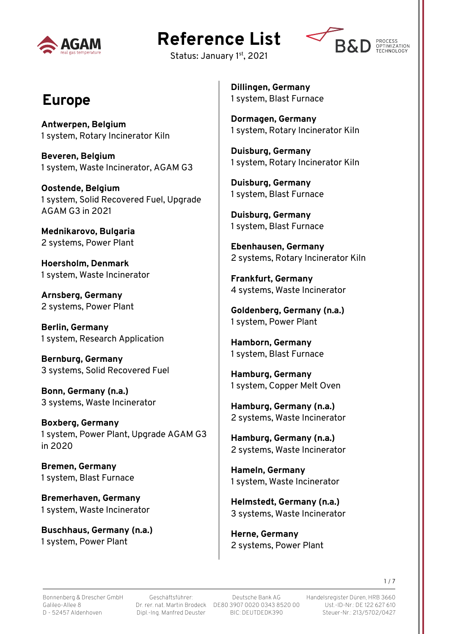

# **Reference List**



Status: January 1st, 2021

#### **Europe**

**Antwerpen, Belgium** 1 system, Rotary Incinerator Kiln

**Beveren, Belgium** 1 system, Waste Incinerator, AGAM G3

**Oostende, Belgium** 1 system, Solid Recovered Fuel, Upgrade AGAM G3 in 2021

**Mednikarovo, Bulgaria** 2 systems, Power Plant

**Hoersholm, Denmark** 1 system, Waste Incinerator

**Arnsberg, Germany** 2 systems, Power Plant

**Berlin, Germany** 1 system, Research Application

**Bernburg, Germany** 3 systems, Solid Recovered Fuel

**Bonn, Germany (n.a.)** 3 systems, Waste Incinerator

**Boxberg, Germany** 1 system, Power Plant, Upgrade AGAM G3 in 2020

**Bremen, Germany** 1 system, Blast Furnace

**Bremerhaven, Germany** 1 system, Waste Incinerator

**Buschhaus, Germany (n.a.)** 1 system, Power Plant

**Dillingen, Germany** 1 system, Blast Furnace

**Dormagen, Germany** 1 system, Rotary Incinerator Kiln

**Duisburg, Germany** 1 system, Rotary Incinerator Kiln

**Duisburg, Germany** 1 system, Blast Furnace

**Duisburg, Germany** 1 system, Blast Furnace

**Ebenhausen, Germany** 2 systems, Rotary Incinerator Kiln

**Frankfurt, Germany** 4 systems, Waste Incinerator

**Goldenberg, Germany (n.a.)** 1 system, Power Plant

**Hamborn, Germany** 1 system, Blast Furnace

**Hamburg, Germany** 1 system, Copper Melt Oven

**Hamburg, Germany (n.a.)** 2 systems, Waste Incinerator

**Hamburg, Germany (n.a.)** 2 systems, Waste Incinerator

**Hameln, Germany** 1 system, Waste Incinerator

**Helmstedt, Germany (n.a.)** 3 systems, Waste Incinerator

**Herne, Germany** 2 systems, Power Plant

Geschäftsführer: Dipl.-Ing. Manfred Deuster

Dr. rer. nat. Martin Brodeck DE80 3907 0020 0343 8520 00 Deutsche Bank AG BIC: DEUTDEDK390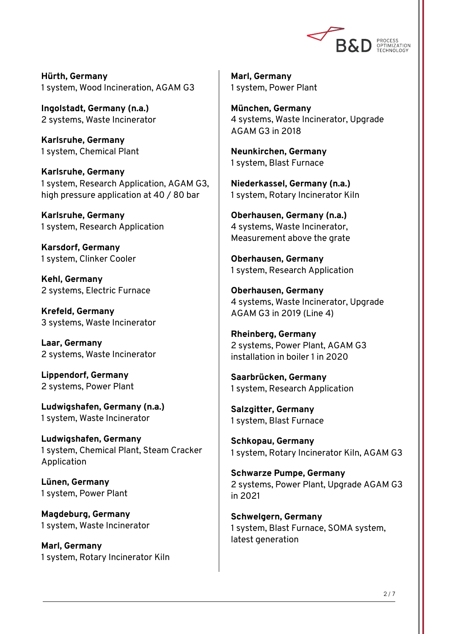

**Hürth, Germany** 1 system, Wood Incineration, AGAM G3

**Ingolstadt, Germany (n.a.)** 2 systems, Waste Incinerator

**Karlsruhe, Germany** 1 system, Chemical Plant

**Karlsruhe, Germany** 1 system, Research Application, AGAM G3, high pressure application at 40 / 80 bar

**Karlsruhe, Germany** 1 system, Research Application

**Karsdorf, Germany** 1 system, Clinker Cooler

**Kehl, Germany** 2 systems, Electric Furnace

**Krefeld, Germany** 3 systems, Waste Incinerator

**Laar, Germany** 2 systems, Waste Incinerator

**Lippendorf, Germany** 2 systems, Power Plant

**Ludwigshafen, Germany (n.a.)** 1 system, Waste Incinerator

**Ludwigshafen, Germany** 1 system, Chemical Plant, Steam Cracker Application

**Lünen, Germany** 1 system, Power Plant

**Magdeburg, Germany** 1 system, Waste Incinerator

**Marl, Germany** 1 system, Rotary Incinerator Kiln

**Marl, Germany** 1 system, Power Plant

**München, Germany** 4 systems, Waste Incinerator, Upgrade AGAM G3 in 2018

**Neunkirchen, Germany** 1 system, Blast Furnace

**Niederkassel, Germany (n.a.)** 1 system, Rotary Incinerator Kiln

**Oberhausen, Germany (n.a.)** 4 systems, Waste Incinerator, Measurement above the grate

**Oberhausen, Germany** 1 system, Research Application

**Oberhausen, Germany** 4 systems, Waste Incinerator, Upgrade AGAM G3 in 2019 (Line 4)

**Rheinberg, Germany** 2 systems, Power Plant, AGAM G3 installation in boiler 1 in 2020

**Saarbrücken, Germany** 1 system, Research Application

**Salzgitter, Germany** 1 system, Blast Furnace

**Schkopau, Germany** 1 system, Rotary Incinerator Kiln, AGAM G3

**Schwarze Pumpe, Germany** 2 systems, Power Plant, Upgrade AGAM G3 in 2021

**Schwelgern, Germany** 1 system, Blast Furnace, SOMA system, latest generation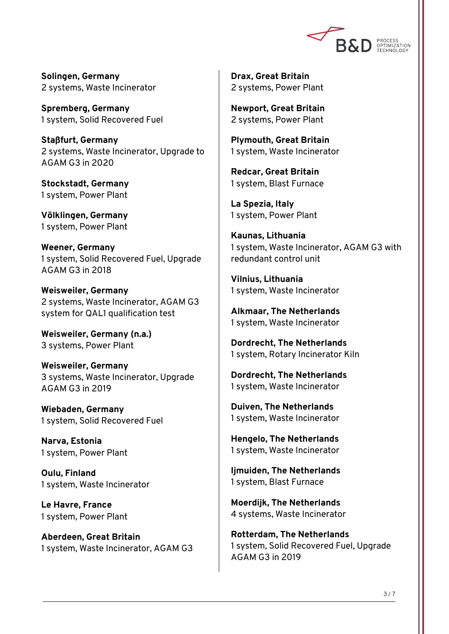

**Solingen, Germany** 2 systems, Waste Incinerator

**Spremberg, Germany** 1 system, Solid Recovered Fuel

**Staßfurt, Germany** 2 systems, Waste Incinerator, Upgrade to AGAM G3 in 2020

**Stockstadt, Germany** 1 system, Power Plant

**Völklingen, Germany** 1 system, Power Plant

**Weener, Germany** 1 system, Solid Recovered Fuel, Upgrade AGAM G3 in 2018

**Weisweiler, Germany** 2 systems, Waste Incinerator, AGAM G3 system for QAL1 qualification test

**Weisweiler, Germany (n.a.)** 3 systems, Power Plant

**Weisweiler, Germany** 3 systems, Waste Incinerator, Upgrade AGAM G3 in 2019

**Wiebaden, Germany** 1 system, Solid Recovered Fuel

**Narva, Estonia** 1 system, Power Plant

**Oulu, Finland** 1 system, Waste Incinerator

**Le Havre, France** 1 system, Power Plant

**Aberdeen, Great Britain** 1 system, Waste Incinerator, AGAM G3 **Drax, Great Britain** 2 systems, Power Plant

**Newport, Great Britain** 2 systems, Power Plant

**Plymouth, Great Britain** 1 system, Waste Incinerator

**Redcar, Great Britain** 1 system, Blast Furnace

**La Spezia, Italy** 1 system, Power Plant

**Kaunas, Lithuania** 1 system, Waste Incinerator, AGAM G3 with redundant control unit

**Vilnius, Lithuania** 1 system, Waste Incinerator

**Alkmaar, The Netherlands** 1 system, Waste Incinerator

**Dordrecht, The Netherlands** 1 system, Rotary Incinerator Kiln

**Dordrecht, The Netherlands** 1 system, Waste Incinerator

**Duiven, The Netherlands** 1 system, Waste Incinerator

**Hengelo, The Netherlands** 1 system, Waste Incinerator

**Ijmuiden, The Netherlands** 1 system, Blast Furnace

**Moerdijk, The Netherlands** 4 systems, Waste Incinerator

**Rotterdam, The Netherlands** 1 system, Solid Recovered Fuel, Upgrade AGAM G3 in 2019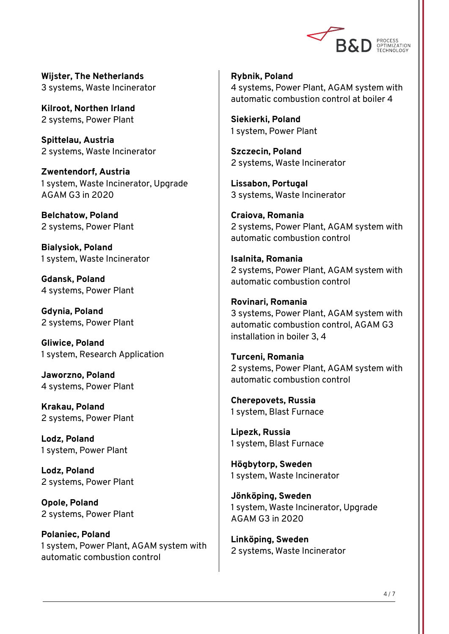

**Wijster, The Netherlands** 3 systems, Waste Incinerator

**Kilroot, Northen Irland** 2 systems, Power Plant

**Spittelau, Austria** 2 systems, Waste Incinerator

**Zwentendorf, Austria** 1 system, Waste Incinerator, Upgrade AGAM G3 in 2020

**Belchatow, Poland** 2 systems, Power Plant

**Bialysiok, Poland** 1 system, Waste Incinerator

**Gdansk, Poland** 4 systems, Power Plant

**Gdynia, Poland** 2 systems, Power Plant

**Gliwice, Poland** 1 system, Research Application

**Jaworzno, Poland** 4 systems, Power Plant

**Krakau, Poland** 2 systems, Power Plant

**Lodz, Poland** 1 system, Power Plant

**Lodz, Poland** 2 systems, Power Plant

**Opole, Poland** 2 systems, Power Plant

**Polaniec, Poland** 1 system, Power Plant, AGAM system with automatic combustion control

**Rybnik, Poland** 4 systems, Power Plant, AGAM system with automatic combustion control at boiler 4

**Siekierki, Poland** 1 system, Power Plant

**Szczecin, Poland** 2 systems, Waste Incinerator

**Lissabon, Portugal** 3 systems, Waste Incinerator

**Craiova, Romania** 2 systems, Power Plant, AGAM system with automatic combustion control

**Isalnita, Romania** 2 systems, Power Plant, AGAM system with automatic combustion control

**Rovinari, Romania** 3 systems, Power Plant, AGAM system with automatic combustion control, AGAM G3 installation in boiler 3, 4

**Turceni, Romania** 2 systems, Power Plant, AGAM system with automatic combustion control

**Cherepovets, Russia** 1 system, Blast Furnace

**Lipezk, Russia** 1 system, Blast Furnace

**Högbytorp, Sweden** 1 system, Waste Incinerator

**Jönköping, Sweden** 1 system, Waste Incinerator, Upgrade AGAM G3 in 2020

**Linköping, Sweden** 2 systems, Waste Incinerator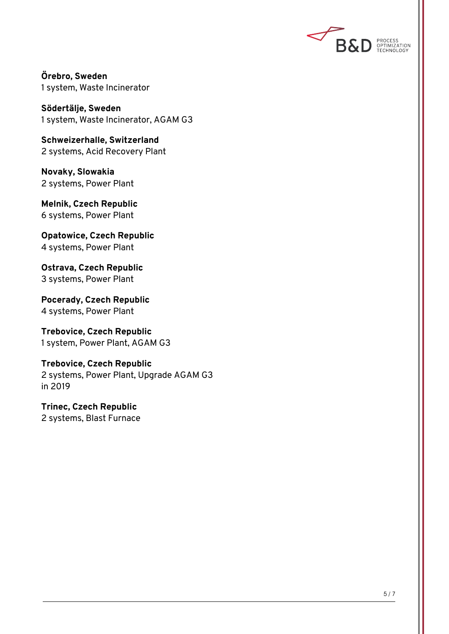

**Örebro, Sweden** 1 system, Waste Incinerator

**Södertälje, Sweden** 1 system, Waste Incinerator, AGAM G3

**Schweizerhalle, Switzerland** 2 systems, Acid Recovery Plant

**Novaky, Slowakia** 2 systems, Power Plant

**Melnik, Czech Republic** 6 systems, Power Plant

**Opatowice, Czech Republic** 4 systems, Power Plant

**Ostrava, Czech Republic** 3 systems, Power Plant

**Pocerady, Czech Republic** 4 systems, Power Plant

**Trebovice, Czech Republic** 1 system, Power Plant, AGAM G3

**Trebovice, Czech Republic** 2 systems, Power Plant, Upgrade AGAM G3 in 2019

**Trinec, Czech Republic** 2 systems, Blast Furnace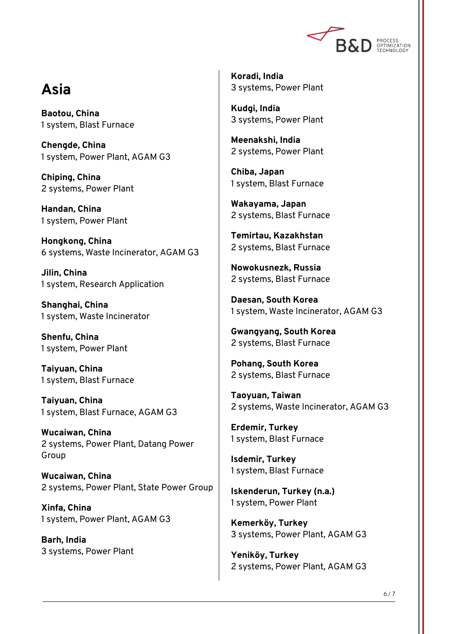

#### **Asia**

**Baotou, China** 1 system, Blast Furnace

**Chengde, China** 1 system, Power Plant, AGAM G3

**Chiping, China** 2 systems, Power Plant

**Handan, China** 1 system, Power Plant

**Hongkong, China** 6 systems, Waste Incinerator, AGAM G3

**Jilin, China** 1 system, Research Application

**Shanghai, China** 1 system, Waste Incinerator

**Shenfu, China** 1 system, Power Plant

**Taiyuan, China** 1 system, Blast Furnace

**Taiyuan, China** 1 system, Blast Furnace, AGAM G3

**Wucaiwan, China** 2 systems, Power Plant, Datang Power Group

**Wucaiwan, China** 2 systems, Power Plant, State Power Group

**Xinfa, China** 1 system, Power Plant, AGAM G3

**Barh, India** 3 systems, Power Plant **Koradi, India** 3 systems, Power Plant

**Kudgi, India** 3 systems, Power Plant

**Meenakshi, India** 2 systems, Power Plant

**Chiba, Japan** 1 system, Blast Furnace

**Wakayama, Japan** 2 systems, Blast Furnace

**Temirtau, Kazakhstan** 2 systems, Blast Furnace

**Nowokusnezk, Russia** 2 systems, Blast Furnace

**Daesan, South Korea** 1 system, Waste Incinerator, AGAM G3

**Gwangyang, South Korea** 2 systems, Blast Furnace

**Pohang, South Korea** 2 systems, Blast Furnace

**Taoyuan, Taiwan** 2 systems, Waste Incinerator, AGAM G3

**Erdemir, Turkey** 1 system, Blast Furnace

**Isdemir, Turkey** 1 system, Blast Furnace

**Iskenderun, Turkey (n.a.)** 1 system, Power Plant

**Kemerköy, Turkey** 3 systems, Power Plant, AGAM G3

**Yeniköy, Turkey** 2 systems, Power Plant, AGAM G3